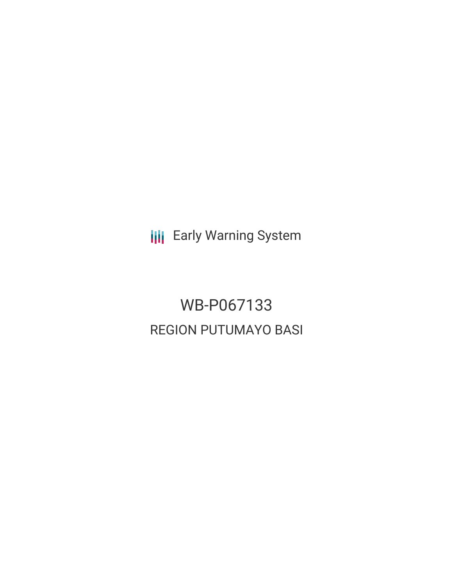**III** Early Warning System

WB-P067133 REGION PUTUMAYO BASI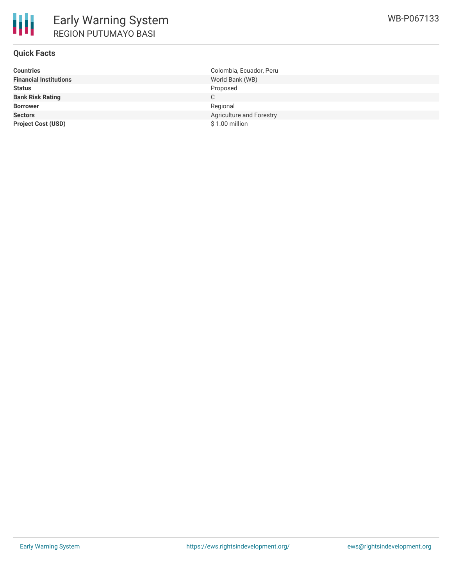

# **Quick Facts**

| <b>Countries</b>              | Colombia, Ecuador, Peru  |
|-------------------------------|--------------------------|
| <b>Financial Institutions</b> | World Bank (WB)          |
| <b>Status</b>                 | Proposed                 |
| <b>Bank Risk Rating</b>       |                          |
| <b>Borrower</b>               | Regional                 |
| <b>Sectors</b>                | Agriculture and Forestry |
| <b>Project Cost (USD)</b>     | $$1.00$ million          |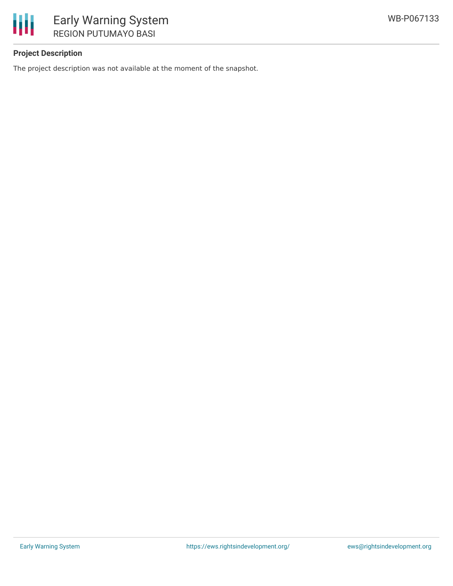

# **Project Description**

The project description was not available at the moment of the snapshot.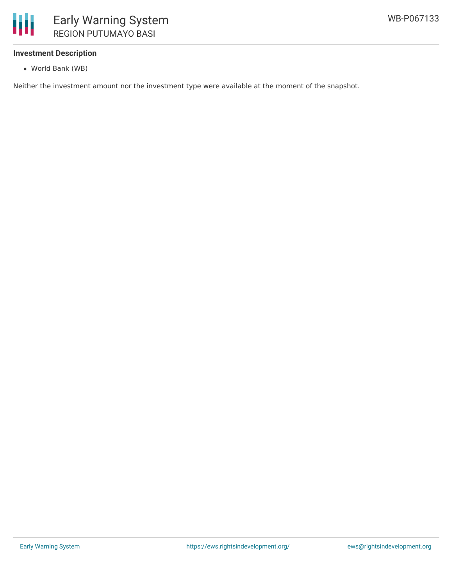

# **Investment Description**

World Bank (WB)

Neither the investment amount nor the investment type were available at the moment of the snapshot.